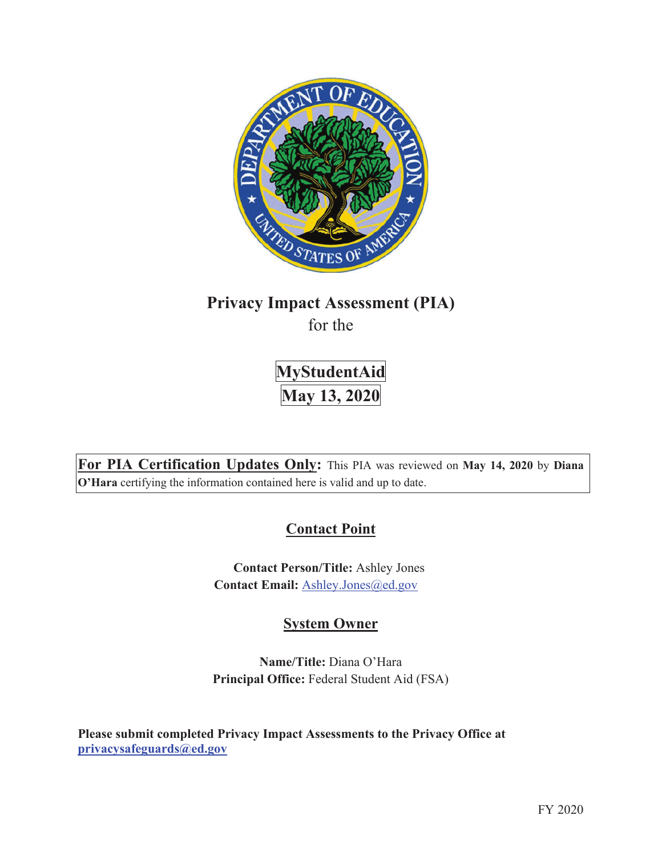

# **Privacy Impact Assessment (PIA)**

for the

**MyStudentAid May 13, 2020** 

**For PIA Certification Updates Only:** This PIA was reviewed on **May 14, 2020** by **Diana O'Hara** certifying the information contained here is valid and up to date.

# **Contact Point**

**Contact Person/Title:** Ashley Jones Contact Email: Ashley.Jones@ed.gov

# **System Owner**

**Name/Title:** Diana O'Hara **Principal Office:** Federal Student Aid (FSA)

**Please submit completed Privacy Impact Assessments to the Privacy Office at privacysafeguards@ed.gov**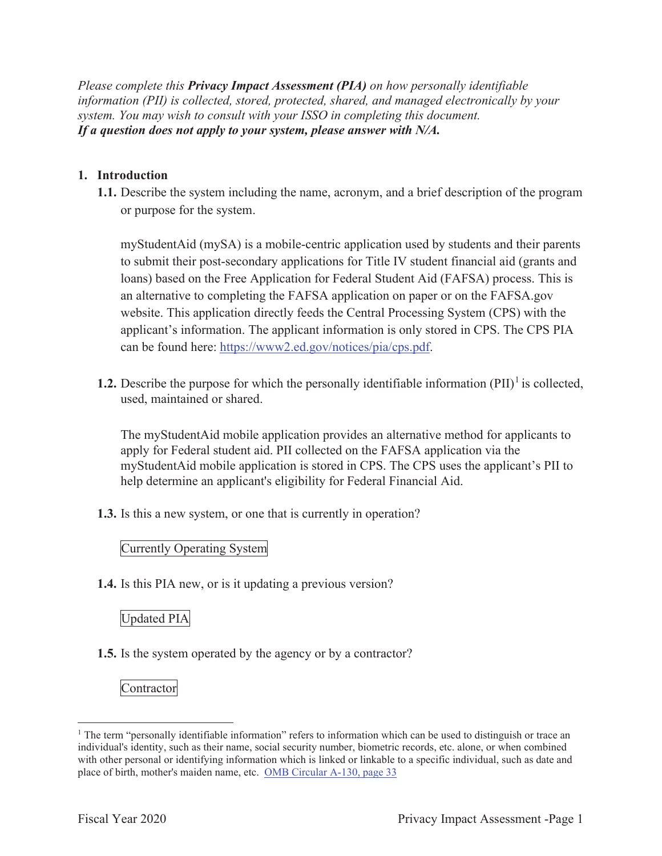*Please complete this Privacy Impact Assessment (PIA) on how personally identifiable information (PII) is collected, stored, protected, shared, and managed electronically by your system. You may wish to consult with your ISSO in completing this document. If a question does not apply to your system, please answer with N/A.*

## **1. Introduction**

**1.1.** Describe the system including the name, acronym, and a brief description of the program or purpose for the system.

myStudentAid (mySA) is a mobile-centric application used by students and their parents to submit their post-secondary applications for Title IV student financial aid (grants and loans) based on the Free Application for Federal Student Aid (FAFSA) process. This is an alternative to completing the FAFSA application on paper or on the FAFSA.gov website. This application directly feeds the Central Processing System (CPS) with the applicant's information. The applicant information is only stored in CPS. The CPS PIA can be found here: https://www2.ed.gov/notices/pia/cps.pdf.

**1.2.** Describe the purpose for which the personally identifiable information  $(PII)^{1}$  is collected, used, maintained or shared.

The myStudentAid mobile application provides an alternative method for applicants to apply for Federal student aid. PII collected on the FAFSA application via the myStudentAid mobile application is stored in CPS. The CPS uses the applicant's PII to help determine an applicant's eligibility for Federal Financial Aid.

**1.3.** Is this a new system, or one that is currently in operation?

Currently Operating System

**1.4.** Is this PIA new, or is it updating a previous version?

## Updated PIA

**1.5.** Is the system operated by the agency or by a contractor?

Contractor

<sup>&</sup>lt;sup>1</sup> The term "personally identifiable information" refers to information which can be used to distinguish or trace an individual's identity, such as their name, social security number, biometric records, etc. alone, or when combined with other personal or identifying information which is linked or linkable to a specific individual, such as date and place of birth, mother's maiden name, etc. OMB Circular A-130, page 33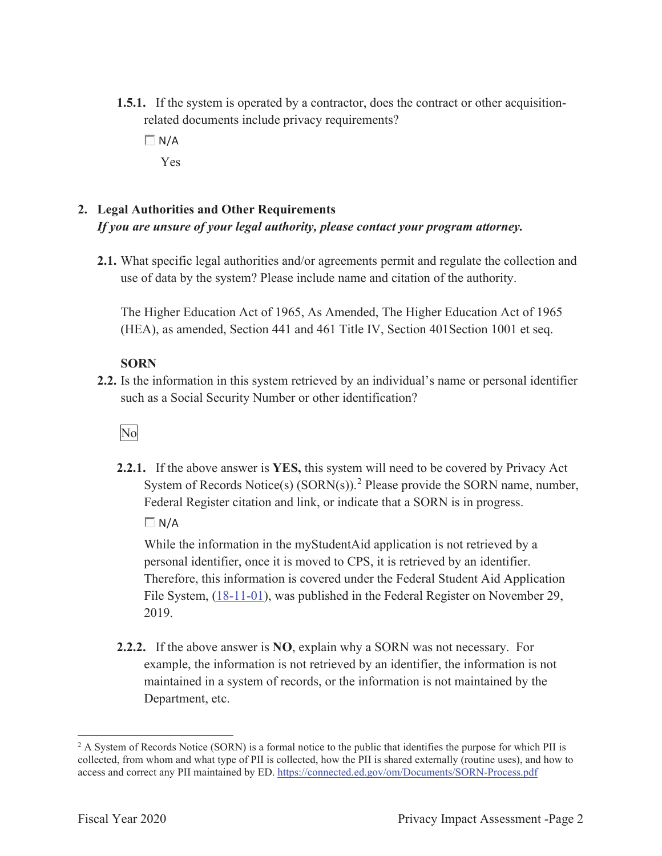- **1.5.1.** If the system is operated by a contractor, does the contract or other acquisitionrelated documents include privacy requirements?
	- $\Box N/A$ Yes

## **2. Legal Authorities and Other Requirements**  *If you are unsure of your legal authority, please contact your program attorney.*

**2.1.** What specific legal authorities and/or agreements permit and regulate the collection and use of data by the system? Please include name and citation of the authority.

The Higher Education Act of 1965, As Amended, The Higher Education Act of 1965 (HEA), as amended, Section 441 and 461 Title IV, Section 401Section 1001 et seq.

## **SORN**

**2.2.** Is the information in this system retrieved by an individual's name or personal identifier such as a Social Security Number or other identification?

## No

**2.2.1.** If the above answer is **YES,** this system will need to be covered by Privacy Act System of Records Notice(s)  $(SORN(s))$ .<sup>2</sup> Please provide the SORN name, number, Federal Register citation and link, or indicate that a SORN is in progress.  $\Box$  N/A

While the information in the myStudentAid application is not retrieved by a personal identifier, once it is moved to CPS, it is retrieved by an identifier. Therefore, this information is covered under the Federal Student Aid Application File System, (18-11-01), was published in the Federal Register on November 29, 2019.

**2.2.2.** If the above answer is **NO**, explain why a SORN was not necessary. For example, the information is not retrieved by an identifier, the information is not maintained in a system of records, or the information is not maintained by the Department, etc.

<sup>&</sup>lt;sup>2</sup> A System of Records Notice (SORN) is a formal notice to the public that identifies the purpose for which PII is collected, from whom and what type of PII is collected, how the PII is shared externally (routine uses), and how to access and correct any PII maintained by ED. https://connected.ed.gov/om/Documents/SORN-Process.pdf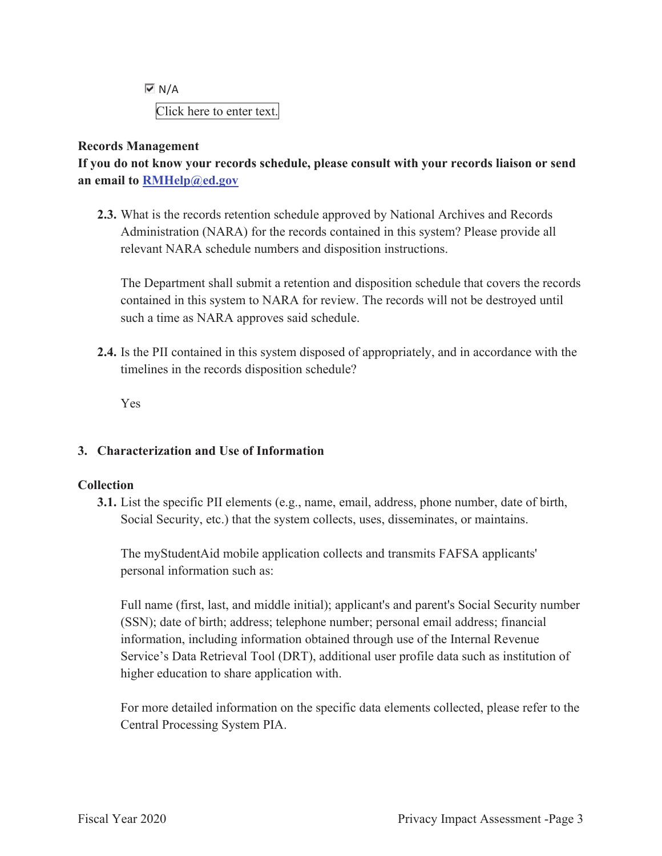$\overline{M}$  N/A Click here to enter text.

#### **Records Management**

**If you do not know your records schedule, please consult with your records liaison or send an email to RMHelp@ed.gov**

**2.3.** What is the records retention schedule approved by National Archives and Records Administration (NARA) for the records contained in this system? Please provide all relevant NARA schedule numbers and disposition instructions.

The Department shall submit a retention and disposition schedule that covers the records contained in this system to NARA for review. The records will not be destroyed until such a time as NARA approves said schedule.

**2.4.** Is the PII contained in this system disposed of appropriately, and in accordance with the timelines in the records disposition schedule?

Yes

## **3. Characterization and Use of Information**

## **Collection**

**3.1.** List the specific PII elements (e.g., name, email, address, phone number, date of birth, Social Security, etc.) that the system collects, uses, disseminates, or maintains.

The myStudentAid mobile application collects and transmits FAFSA applicants' personal information such as:

Full name (first, last, and middle initial); applicant's and parent's Social Security number (SSN); date of birth; address; telephone number; personal email address; financial information, including information obtained through use of the Internal Revenue Service's Data Retrieval Tool (DRT), additional user profile data such as institution of higher education to share application with.

For more detailed information on the specific data elements collected, please refer to the Central Processing System PIA.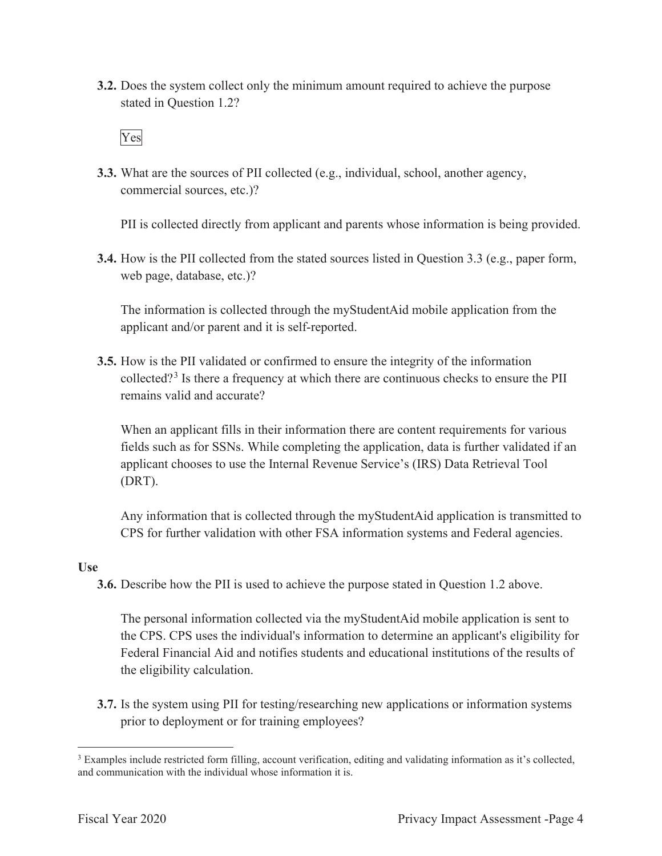**3.2.** Does the system collect only the minimum amount required to achieve the purpose stated in Question 1.2?

## Yes

**3.3.** What are the sources of PII collected (e.g., individual, school, another agency, commercial sources, etc.)?

PII is collected directly from applicant and parents whose information is being provided.

**3.4.** How is the PII collected from the stated sources listed in Question 3.3 (e.g., paper form, web page, database, etc.)?

The information is collected through the myStudentAid mobile application from the applicant and/or parent and it is self-reported.

**3.5.** How is the PII validated or confirmed to ensure the integrity of the information collected?<sup>3</sup> Is there a frequency at which there are continuous checks to ensure the PII remains valid and accurate?

When an applicant fills in their information there are content requirements for various fields such as for SSNs. While completing the application, data is further validated if an applicant chooses to use the Internal Revenue Service's (IRS) Data Retrieval Tool (DRT).

Any information that is collected through the myStudentAid application is transmitted to CPS for further validation with other FSA information systems and Federal agencies.

## **Use**

**3.6.** Describe how the PII is used to achieve the purpose stated in Question 1.2 above.

The personal information collected via the myStudentAid mobile application is sent to the CPS. CPS uses the individual's information to determine an applicant's eligibility for Federal Financial Aid and notifies students and educational institutions of the results of the eligibility calculation.

**3.7.** Is the system using PII for testing/researching new applications or information systems prior to deployment or for training employees?

<sup>&</sup>lt;sup>3</sup> Examples include restricted form filling, account verification, editing and validating information as it's collected, and communication with the individual whose information it is.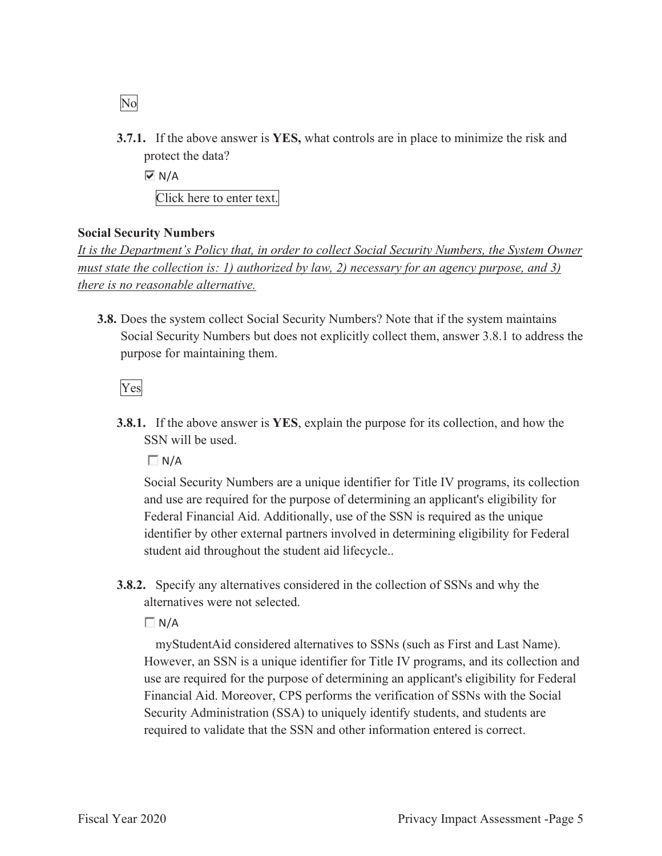- No
- **3.7.1.** If the above answer is **YES,** what controls are in place to minimize the risk and protect the data?

 $\overline{M}$  N/A

Click here to enter text.

## **Social Security Numbers**

*It is the Department's Policy that, in order to collect Social Security Numbers, the System Owner must state the collection is: 1) authorized by law, 2) necessary for an agency purpose, and 3) there is no reasonable alternative.* 

**3.8.** Does the system collect Social Security Numbers? Note that if the system maintains Social Security Numbers but does not explicitly collect them, answer 3.8.1 to address the purpose for maintaining them.

Yes

**3.8.1.** If the above answer is **YES**, explain the purpose for its collection, and how the SSN will be used.

 $\Box N/A$ 

Social Security Numbers are a unique identifier for Title IV programs, its collection and use are required for the purpose of determining an applicant's eligibility for Federal Financial Aid. Additionally, use of the SSN is required as the unique identifier by other external partners involved in determining eligibility for Federal student aid throughout the student aid lifecycle..

**3.8.2.** Specify any alternatives considered in the collection of SSNs and why the alternatives were not selected.

**N/A** 

 myStudentAid considered alternatives to SSNs (such as First and Last Name). However, an SSN is a unique identifier for Title IV programs, and its collection and use are required for the purpose of determining an applicant's eligibility for Federal Financial Aid. Moreover, CPS performs the verification of SSNs with the Social Security Administration (SSA) to uniquely identify students, and students are required to validate that the SSN and other information entered is correct.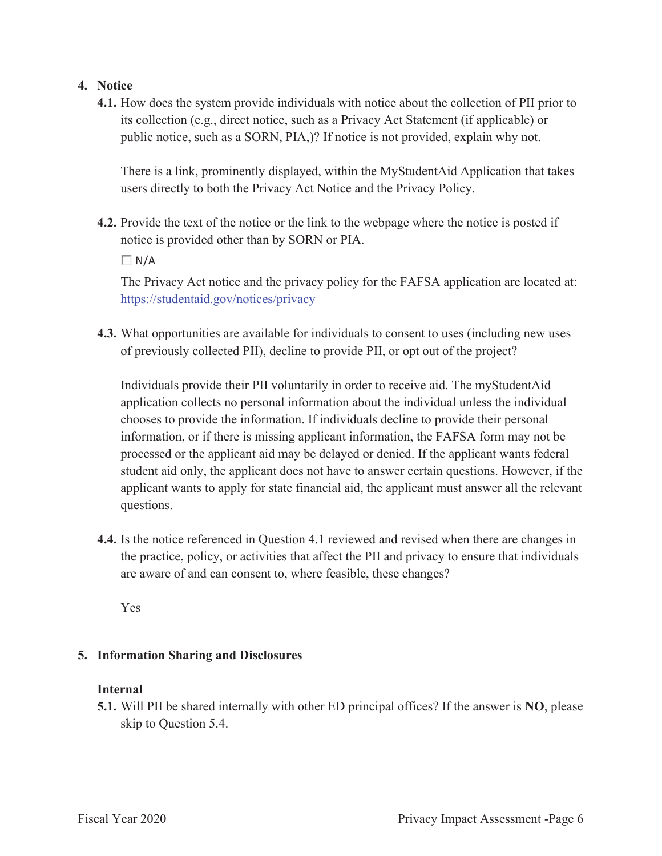## **4. Notice**

**4.1.** How does the system provide individuals with notice about the collection of PII prior to its collection (e.g., direct notice, such as a Privacy Act Statement (if applicable) or public notice, such as a SORN, PIA,)? If notice is not provided, explain why not.

There is a link, prominently displayed, within the MyStudentAid Application that takes users directly to both the Privacy Act Notice and the Privacy Policy.

**4.2.** Provide the text of the notice or the link to the webpage where the notice is posted if notice is provided other than by SORN or PIA.

 $\Box N/A$ 

The Privacy Act notice and the privacy policy for the FAFSA application are located at: https://studentaid.gov/notices/privacy

**4.3.** What opportunities are available for individuals to consent to uses (including new uses of previously collected PII), decline to provide PII, or opt out of the project?

Individuals provide their PII voluntarily in order to receive aid. The myStudentAid application collects no personal information about the individual unless the individual chooses to provide the information. If individuals decline to provide their personal information, or if there is missing applicant information, the FAFSA form may not be processed or the applicant aid may be delayed or denied. If the applicant wants federal student aid only, the applicant does not have to answer certain questions. However, if the applicant wants to apply for state financial aid, the applicant must answer all the relevant questions.

**4.4.** Is the notice referenced in Question 4.1 reviewed and revised when there are changes in the practice, policy, or activities that affect the PII and privacy to ensure that individuals are aware of and can consent to, where feasible, these changes?

Yes

## **5. Information Sharing and Disclosures**

#### **Internal**

**5.1.** Will PII be shared internally with other ED principal offices? If the answer is **NO**, please skip to Question 5.4.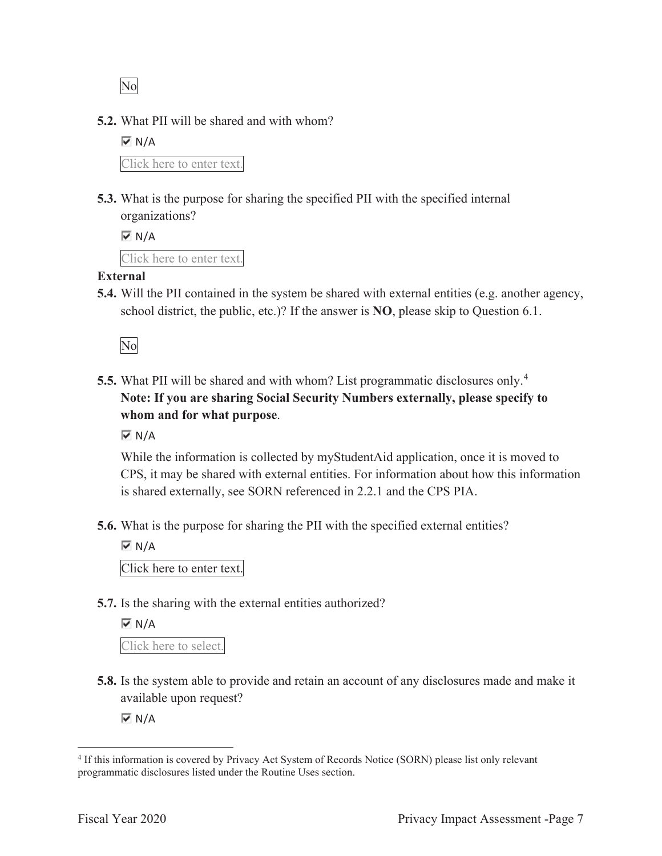No

**5.2.** What PII will be shared and with whom?

 $\overline{M}$  N/A Click here to enter text.

**5.3.** What is the purpose for sharing the specified PII with the specified internal organizations?

```
\overline{M} N/A
Click here to enter text.
```
## **External**

**5.4.** Will the PII contained in the system be shared with external entities (e.g. another agency, school district, the public, etc.)? If the answer is **NO**, please skip to Question 6.1.

No

**5.5.** What PII will be shared and with whom? List programmatic disclosures only.<sup>4</sup> **Note: If you are sharing Social Security Numbers externally, please specify to whom and for what purpose**.

 $\overline{M}$  N/A

While the information is collected by myStudentAid application, once it is moved to CPS, it may be shared with external entities. For information about how this information is shared externally, see SORN referenced in 2.2.1 and the CPS PIA.

**5.6.** What is the purpose for sharing the PII with the specified external entities?

 $\overline{M}$  N/A

Click here to enter text.

**5.7.** Is the sharing with the external entities authorized?

 $\overline{M}$  N/A Click here to select.

**5.8.** Is the system able to provide and retain an account of any disclosures made and make it available upon request?

 $\overline{\triangledown}$  N/A

<sup>4</sup> If this information is covered by Privacy Act System of Records Notice (SORN) please list only relevant programmatic disclosures listed under the Routine Uses section.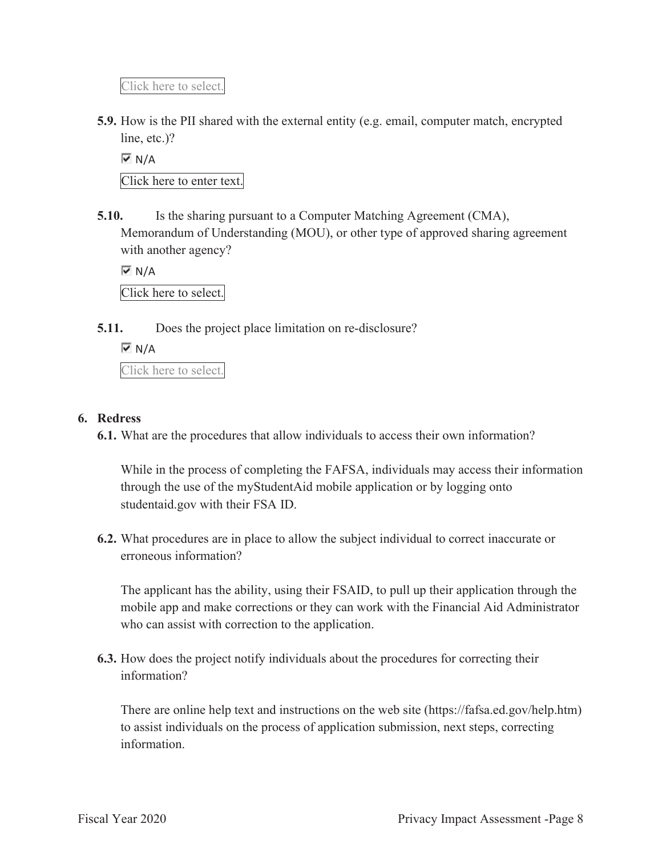Click here to select.

**5.9.** How is the PII shared with the external entity (e.g. email, computer match, encrypted line, etc.)?

 $\overline{M}$  N/A

Click here to enter text.

**5.10.** Is the sharing pursuant to a Computer Matching Agreement (CMA), Memorandum of Understanding (MOU), or other type of approved sharing agreement with another agency?

 $\overline{M}$  N/A

Click here to select.

**5.11.** Does the project place limitation on re-disclosure?

 $\overline{M}$  N/A

Click here to select.

## **6. Redress**

**6.1.** What are the procedures that allow individuals to access their own information?

While in the process of completing the FAFSA, individuals may access their information through the use of the myStudentAid mobile application or by logging onto studentaid.gov with their FSA ID.

**6.2.** What procedures are in place to allow the subject individual to correct inaccurate or erroneous information?

The applicant has the ability, using their FSAID, to pull up their application through the mobile app and make corrections or they can work with the Financial Aid Administrator who can assist with correction to the application.

**6.3.** How does the project notify individuals about the procedures for correcting their information?

There are online help text and instructions on the web site (https://fafsa.ed.gov/help.htm) to assist individuals on the process of application submission, next steps, correcting information.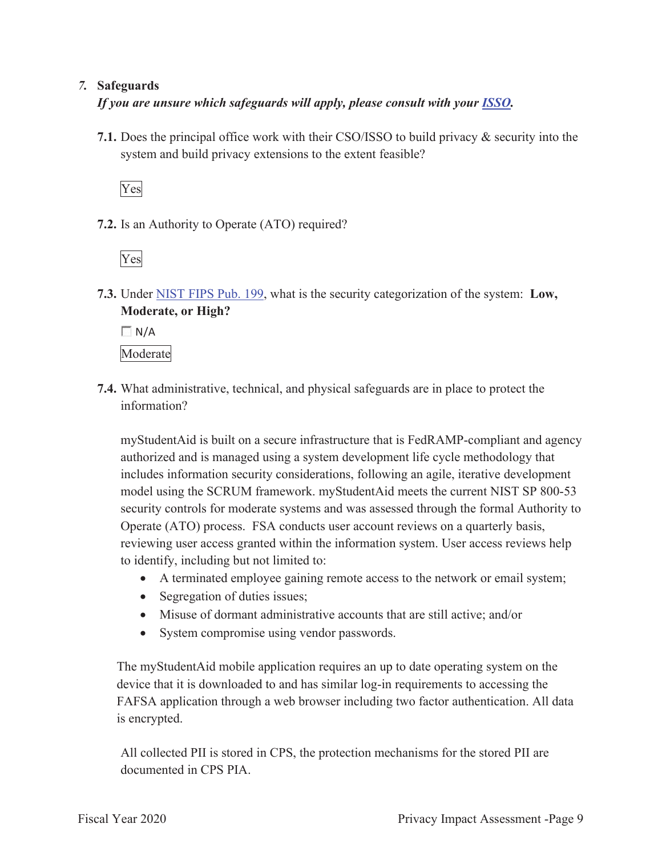## *7.* **Safeguards**

*If you are unsure which safeguards will apply, please consult with your ISSO.* 

**7.1.** Does the principal office work with their CSO/ISSO to build privacy & security into the system and build privacy extensions to the extent feasible?

Yes

**7.2.** Is an Authority to Operate (ATO) required?

Yes

**7.3.** Under NIST FIPS Pub. 199, what is the security categorization of the system: **Low, Moderate, or High?** 

 $\Box$  N/A

Moderate

**7.4.** What administrative, technical, and physical safeguards are in place to protect the information?

myStudentAid is built on a secure infrastructure that is FedRAMP-compliant and agency authorized and is managed using a system development life cycle methodology that includes information security considerations, following an agile, iterative development model using the SCRUM framework. myStudentAid meets the current NIST SP 800-53 security controls for moderate systems and was assessed through the formal Authority to Operate (ATO) process. FSA conducts user account reviews on a quarterly basis, reviewing user access granted within the information system. User access reviews help to identify, including but not limited to:

- A terminated employee gaining remote access to the network or email system;
- Segregation of duties issues;
- $\bullet$  Misuse of dormant administrative accounts that are still active; and/or
- System compromise using vendor passwords.

The myStudentAid mobile application requires an up to date operating system on the device that it is downloaded to and has similar log-in requirements to accessing the FAFSA application through a web browser including two factor authentication. All data is encrypted.

All collected PII is stored in CPS, the protection mechanisms for the stored PII are documented in CPS PIA.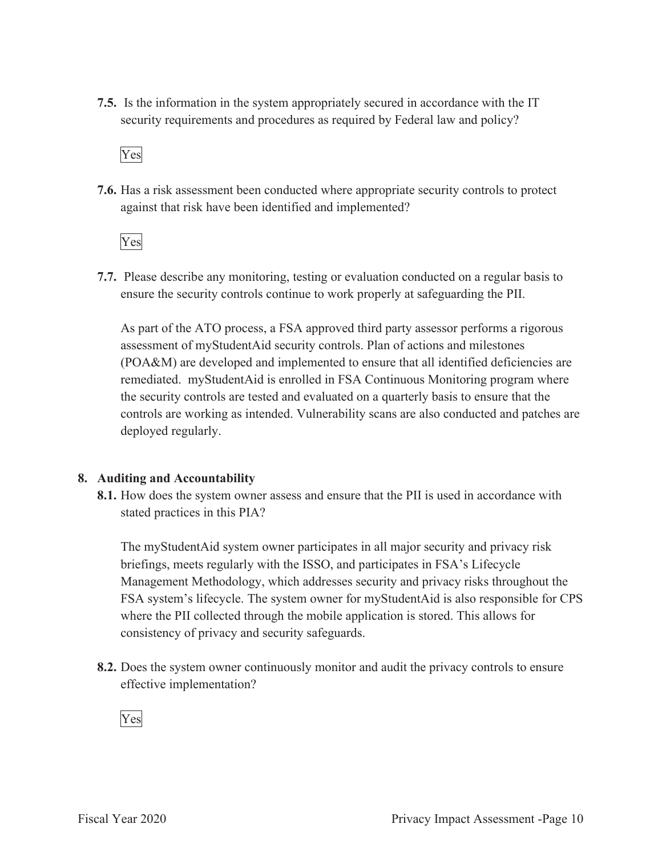**7.5.** Is the information in the system appropriately secured in accordance with the IT security requirements and procedures as required by Federal law and policy?



**7.6.** Has a risk assessment been conducted where appropriate security controls to protect against that risk have been identified and implemented?

Yes

**7.7.** Please describe any monitoring, testing or evaluation conducted on a regular basis to ensure the security controls continue to work properly at safeguarding the PII.

As part of the ATO process, a FSA approved third party assessor performs a rigorous assessment of myStudentAid security controls. Plan of actions and milestones (POA&M) are developed and implemented to ensure that all identified deficiencies are remediated. myStudentAid is enrolled in FSA Continuous Monitoring program where the security controls are tested and evaluated on a quarterly basis to ensure that the controls are working as intended. Vulnerability scans are also conducted and patches are deployed regularly.

## **8. Auditing and Accountability**

**8.1.** How does the system owner assess and ensure that the PII is used in accordance with stated practices in this PIA?

The myStudentAid system owner participates in all major security and privacy risk briefings, meets regularly with the ISSO, and participates in FSA's Lifecycle Management Methodology, which addresses security and privacy risks throughout the FSA system's lifecycle. The system owner for myStudentAid is also responsible for CPS where the PII collected through the mobile application is stored. This allows for consistency of privacy and security safeguards.

**8.2.** Does the system owner continuously monitor and audit the privacy controls to ensure effective implementation?